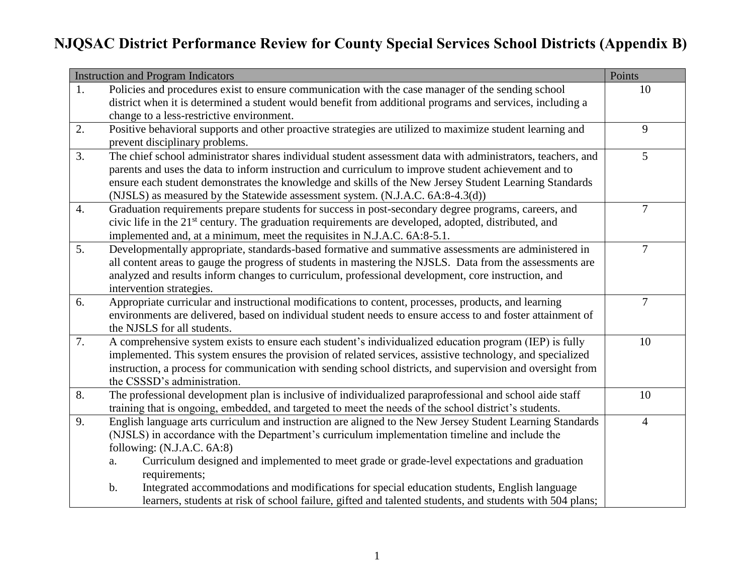|                  | <b>Instruction and Program Indicators</b>                                                                        | Points         |
|------------------|------------------------------------------------------------------------------------------------------------------|----------------|
| 1.               | Policies and procedures exist to ensure communication with the case manager of the sending school                | 10             |
|                  | district when it is determined a student would benefit from additional programs and services, including a        |                |
|                  | change to a less-restrictive environment.                                                                        |                |
| 2.               | Positive behavioral supports and other proactive strategies are utilized to maximize student learning and        | 9              |
|                  | prevent disciplinary problems.                                                                                   |                |
| 3.               | The chief school administrator shares individual student assessment data with administrators, teachers, and      | 5              |
|                  | parents and uses the data to inform instruction and curriculum to improve student achievement and to             |                |
|                  | ensure each student demonstrates the knowledge and skills of the New Jersey Student Learning Standards           |                |
|                  | (NJSLS) as measured by the Statewide assessment system. (N.J.A.C. 6A:8-4.3(d))                                   |                |
| $\overline{4}$ . | Graduation requirements prepare students for success in post-secondary degree programs, careers, and             | $\overline{7}$ |
|                  | civic life in the 21 <sup>st</sup> century. The graduation requirements are developed, adopted, distributed, and |                |
|                  | implemented and, at a minimum, meet the requisites in N.J.A.C. 6A:8-5.1.                                         |                |
| 5.               | Developmentally appropriate, standards-based formative and summative assessments are administered in             | $\overline{7}$ |
|                  | all content areas to gauge the progress of students in mastering the NJSLS. Data from the assessments are        |                |
|                  | analyzed and results inform changes to curriculum, professional development, core instruction, and               |                |
|                  | intervention strategies.                                                                                         |                |
| 6.               | Appropriate curricular and instructional modifications to content, processes, products, and learning             | $\overline{7}$ |
|                  | environments are delivered, based on individual student needs to ensure access to and foster attainment of       |                |
|                  | the NJSLS for all students.                                                                                      |                |
| 7.               | A comprehensive system exists to ensure each student's individualized education program (IEP) is fully           | 10             |
|                  | implemented. This system ensures the provision of related services, assistive technology, and specialized        |                |
|                  | instruction, a process for communication with sending school districts, and supervision and oversight from       |                |
|                  | the CSSSD's administration.                                                                                      |                |
| 8.               | The professional development plan is inclusive of individualized paraprofessional and school aide staff          | 10             |
|                  | training that is ongoing, embedded, and targeted to meet the needs of the school district's students.            |                |
| 9.               | English language arts curriculum and instruction are aligned to the New Jersey Student Learning Standards        | $\overline{4}$ |
|                  | (NJSLS) in accordance with the Department's curriculum implementation timeline and include the                   |                |
|                  | following: $(N.J.A.C. 6A:8)$                                                                                     |                |
|                  | Curriculum designed and implemented to meet grade or grade-level expectations and graduation<br>a.               |                |
|                  | requirements;                                                                                                    |                |
|                  | Integrated accommodations and modifications for special education students, English language<br>$\mathbf b$ .    |                |
|                  | learners, students at risk of school failure, gifted and talented students, and students with 504 plans;         |                |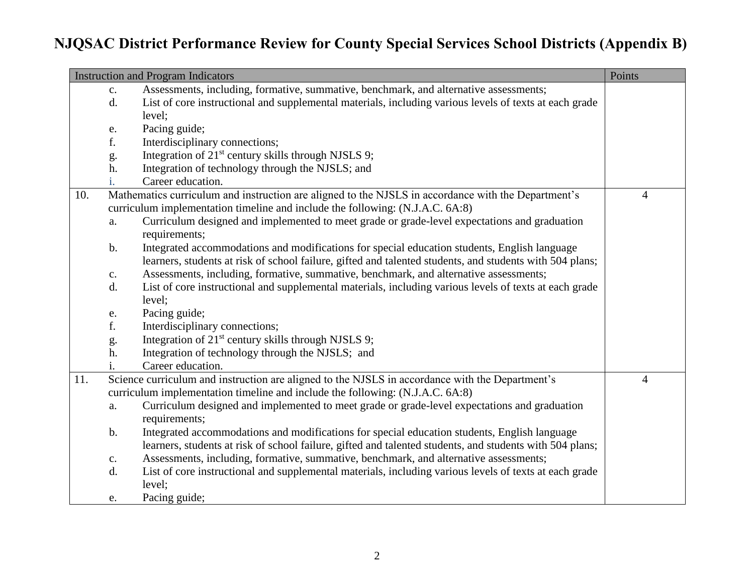|     |                | <b>Instruction and Program Indicators</b>                                                                     | Points         |
|-----|----------------|---------------------------------------------------------------------------------------------------------------|----------------|
|     | $\mathbf{c}$ . | Assessments, including, formative, summative, benchmark, and alternative assessments;                         |                |
|     | d.             | List of core instructional and supplemental materials, including various levels of texts at each grade        |                |
|     |                | level;                                                                                                        |                |
|     | e.             | Pacing guide;                                                                                                 |                |
|     | f.             | Interdisciplinary connections;                                                                                |                |
|     | g.             | Integration of 21 <sup>st</sup> century skills through NJSLS 9;                                               |                |
|     | h.             | Integration of technology through the NJSLS; and                                                              |                |
|     | i.             | Career education.                                                                                             |                |
| 10. |                | Mathematics curriculum and instruction are aligned to the NJSLS in accordance with the Department's           | $\overline{4}$ |
|     |                | curriculum implementation timeline and include the following: (N.J.A.C. 6A:8)                                 |                |
|     | a.             | Curriculum designed and implemented to meet grade or grade-level expectations and graduation<br>requirements; |                |
|     | b.             | Integrated accommodations and modifications for special education students, English language                  |                |
|     |                | learners, students at risk of school failure, gifted and talented students, and students with 504 plans;      |                |
|     | $\mathbf{c}$ . | Assessments, including, formative, summative, benchmark, and alternative assessments;                         |                |
|     | d.             | List of core instructional and supplemental materials, including various levels of texts at each grade        |                |
|     |                | level;                                                                                                        |                |
|     | ${\bf e}.$     | Pacing guide;                                                                                                 |                |
|     | f.             | Interdisciplinary connections;                                                                                |                |
|     | g.             | Integration of 21 <sup>st</sup> century skills through NJSLS 9;                                               |                |
|     | h.             | Integration of technology through the NJSLS; and                                                              |                |
|     | 1.             | Career education.                                                                                             |                |
| 11. |                | Science curriculum and instruction are aligned to the NJSLS in accordance with the Department's               | $\overline{4}$ |
|     |                | curriculum implementation timeline and include the following: (N.J.A.C. 6A:8)                                 |                |
|     | a.             | Curriculum designed and implemented to meet grade or grade-level expectations and graduation                  |                |
|     |                | requirements;                                                                                                 |                |
|     | $\mathbf b$ .  | Integrated accommodations and modifications for special education students, English language                  |                |
|     |                | learners, students at risk of school failure, gifted and talented students, and students with 504 plans;      |                |
|     | $\mathbf{C}$ . | Assessments, including, formative, summative, benchmark, and alternative assessments;                         |                |
|     | d.             | List of core instructional and supplemental materials, including various levels of texts at each grade        |                |
|     |                | level;                                                                                                        |                |
|     | e.             | Pacing guide;                                                                                                 |                |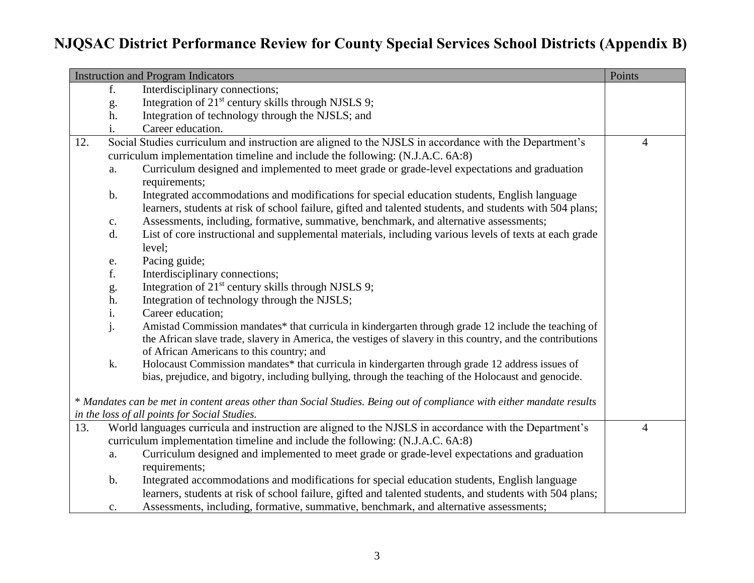|     |                | <b>Instruction and Program Indicators</b>                                                                             | Points         |
|-----|----------------|-----------------------------------------------------------------------------------------------------------------------|----------------|
|     | f.             | Interdisciplinary connections;                                                                                        |                |
|     | g.             | Integration of 21 <sup>st</sup> century skills through NJSLS 9;                                                       |                |
|     | h.             | Integration of technology through the NJSLS; and                                                                      |                |
|     | i.             | Career education.                                                                                                     |                |
| 12. |                | Social Studies curriculum and instruction are aligned to the NJSLS in accordance with the Department's                | $\overline{4}$ |
|     |                | curriculum implementation timeline and include the following: (N.J.A.C. 6A:8)                                         |                |
|     | a.             | Curriculum designed and implemented to meet grade or grade-level expectations and graduation                          |                |
|     |                | requirements;                                                                                                         |                |
|     | $\mathbf b$ .  | Integrated accommodations and modifications for special education students, English language                          |                |
|     |                | learners, students at risk of school failure, gifted and talented students, and students with 504 plans;              |                |
|     | $\mathbf{c}$ . | Assessments, including, formative, summative, benchmark, and alternative assessments;                                 |                |
|     | d.             | List of core instructional and supplemental materials, including various levels of texts at each grade                |                |
|     |                | level;                                                                                                                |                |
|     | e.             | Pacing guide;                                                                                                         |                |
|     | f.             | Interdisciplinary connections;                                                                                        |                |
|     | g.             | Integration of 21 <sup>st</sup> century skills through NJSLS 9;                                                       |                |
|     | h.             | Integration of technology through the NJSLS;                                                                          |                |
|     | i.             | Career education;                                                                                                     |                |
|     | j.             | Amistad Commission mandates* that curricula in kindergarten through grade 12 include the teaching of                  |                |
|     |                | the African slave trade, slavery in America, the vestiges of slavery in this country, and the contributions           |                |
|     |                | of African Americans to this country; and                                                                             |                |
|     | k.             | Holocaust Commission mandates* that curricula in kindergarten through grade 12 address issues of                      |                |
|     |                | bias, prejudice, and bigotry, including bullying, through the teaching of the Holocaust and genocide.                 |                |
|     |                |                                                                                                                       |                |
|     |                | * Mandates can be met in content areas other than Social Studies. Being out of compliance with either mandate results |                |
|     |                | in the loss of all points for Social Studies.                                                                         |                |
| 13. |                | World languages curricula and instruction are aligned to the NJSLS in accordance with the Department's                | $\overline{4}$ |
|     |                | curriculum implementation timeline and include the following: (N.J.A.C. 6A:8)                                         |                |
|     | a.             | Curriculum designed and implemented to meet grade or grade-level expectations and graduation                          |                |
|     |                | requirements;                                                                                                         |                |
|     | $\mathbf b$ .  | Integrated accommodations and modifications for special education students, English language                          |                |
|     |                | learners, students at risk of school failure, gifted and talented students, and students with 504 plans;              |                |
|     | $\mathbf{c}$ . | Assessments, including, formative, summative, benchmark, and alternative assessments;                                 |                |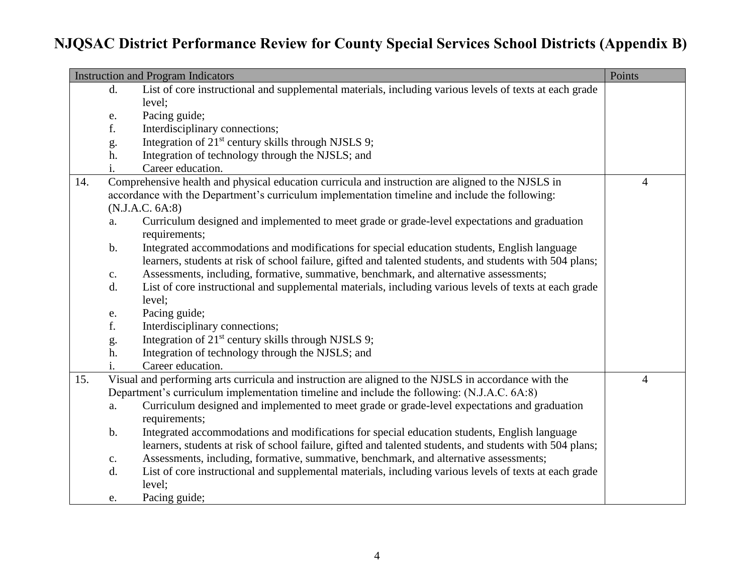|     |               | <b>Instruction and Program Indicators</b>                                                                                                                                                                | Points         |
|-----|---------------|----------------------------------------------------------------------------------------------------------------------------------------------------------------------------------------------------------|----------------|
|     | d.            | List of core instructional and supplemental materials, including various levels of texts at each grade                                                                                                   |                |
|     |               | level;                                                                                                                                                                                                   |                |
|     | e.            | Pacing guide;                                                                                                                                                                                            |                |
|     | f.            | Interdisciplinary connections;                                                                                                                                                                           |                |
|     | g.            | Integration of 21 <sup>st</sup> century skills through NJSLS 9;                                                                                                                                          |                |
|     | h.            | Integration of technology through the NJSLS; and                                                                                                                                                         |                |
|     | i.            | Career education.                                                                                                                                                                                        |                |
| 14. |               | Comprehensive health and physical education curricula and instruction are aligned to the NJSLS in                                                                                                        | $\overline{4}$ |
|     |               | accordance with the Department's curriculum implementation timeline and include the following:                                                                                                           |                |
|     |               | (N.J.A.C. 6A:8)                                                                                                                                                                                          |                |
|     | a.            | Curriculum designed and implemented to meet grade or grade-level expectations and graduation<br>requirements;                                                                                            |                |
|     | $\mathbf b$ . | Integrated accommodations and modifications for special education students, English language<br>learners, students at risk of school failure, gifted and talented students, and students with 504 plans; |                |
|     | c.            | Assessments, including, formative, summative, benchmark, and alternative assessments;                                                                                                                    |                |
|     | d.            | List of core instructional and supplemental materials, including various levels of texts at each grade<br>level;                                                                                         |                |
|     | e.            | Pacing guide;                                                                                                                                                                                            |                |
|     | f.            | Interdisciplinary connections;                                                                                                                                                                           |                |
|     | g.            | Integration of 21 <sup>st</sup> century skills through NJSLS 9;                                                                                                                                          |                |
|     | h.            | Integration of technology through the NJSLS; and                                                                                                                                                         |                |
|     |               | Career education.                                                                                                                                                                                        |                |
| 15. |               | Visual and performing arts curricula and instruction are aligned to the NJSLS in accordance with the                                                                                                     | $\overline{4}$ |
|     |               | Department's curriculum implementation timeline and include the following: (N.J.A.C. 6A:8)                                                                                                               |                |
|     | a.            | Curriculum designed and implemented to meet grade or grade-level expectations and graduation                                                                                                             |                |
|     |               | requirements;                                                                                                                                                                                            |                |
|     | $\mathbf b$ . | Integrated accommodations and modifications for special education students, English language                                                                                                             |                |
|     |               | learners, students at risk of school failure, gifted and talented students, and students with 504 plans;                                                                                                 |                |
|     | c.            | Assessments, including, formative, summative, benchmark, and alternative assessments;                                                                                                                    |                |
|     | d.            | List of core instructional and supplemental materials, including various levels of texts at each grade                                                                                                   |                |
|     |               | level;                                                                                                                                                                                                   |                |
|     | e.            | Pacing guide;                                                                                                                                                                                            |                |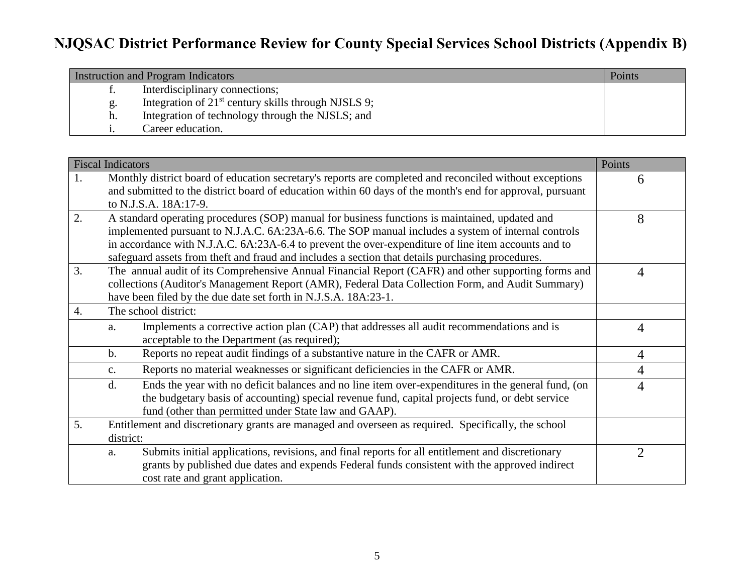| <b>Instruction and Program Indicators</b> |                                                       | Points |
|-------------------------------------------|-------------------------------------------------------|--------|
| ι.                                        | Interdisciplinary connections;                        |        |
|                                           | Integration of $21st$ century skills through NJSLS 9; |        |
| h.                                        | Integration of technology through the NJSLS; and      |        |
|                                           | Career education.                                     |        |

|                  | <b>Fiscal Indicators</b>                                                                                                                                                                                                                                                                                                                                                                                        | Points         |
|------------------|-----------------------------------------------------------------------------------------------------------------------------------------------------------------------------------------------------------------------------------------------------------------------------------------------------------------------------------------------------------------------------------------------------------------|----------------|
| 1.               | Monthly district board of education secretary's reports are completed and reconciled without exceptions<br>and submitted to the district board of education within 60 days of the month's end for approval, pursuant<br>to N.J.S.A. 18A:17-9.                                                                                                                                                                   | 6              |
| 2.               | A standard operating procedures (SOP) manual for business functions is maintained, updated and<br>implemented pursuant to N.J.A.C. 6A:23A-6.6. The SOP manual includes a system of internal controls<br>in accordance with N.J.A.C. 6A:23A-6.4 to prevent the over-expenditure of line item accounts and to<br>safeguard assets from theft and fraud and includes a section that details purchasing procedures. | 8              |
| 3.               | The annual audit of its Comprehensive Annual Financial Report (CAFR) and other supporting forms and<br>collections (Auditor's Management Report (AMR), Federal Data Collection Form, and Audit Summary)<br>have been filed by the due date set forth in N.J.S.A. 18A:23-1.                                                                                                                                      | 4              |
| $\overline{4}$ . | The school district:                                                                                                                                                                                                                                                                                                                                                                                            |                |
|                  | Implements a corrective action plan (CAP) that addresses all audit recommendations and is<br>a.<br>acceptable to the Department (as required);                                                                                                                                                                                                                                                                  | 4              |
|                  | Reports no repeat audit findings of a substantive nature in the CAFR or AMR.<br>$\mathbf{b}$ .                                                                                                                                                                                                                                                                                                                  | 4              |
|                  | Reports no material weaknesses or significant deficiencies in the CAFR or AMR.<br>$C_{\bullet}$                                                                                                                                                                                                                                                                                                                 | 4              |
|                  | Ends the year with no deficit balances and no line item over-expenditures in the general fund, (on<br>d.<br>the budgetary basis of accounting) special revenue fund, capital projects fund, or debt service<br>fund (other than permitted under State law and GAAP).                                                                                                                                            | 4              |
| 5.               | Entitlement and discretionary grants are managed and overseen as required. Specifically, the school                                                                                                                                                                                                                                                                                                             |                |
|                  | district:                                                                                                                                                                                                                                                                                                                                                                                                       |                |
|                  | Submits initial applications, revisions, and final reports for all entitlement and discretionary<br>a.<br>grants by published due dates and expends Federal funds consistent with the approved indirect<br>cost rate and grant application.                                                                                                                                                                     | $\overline{2}$ |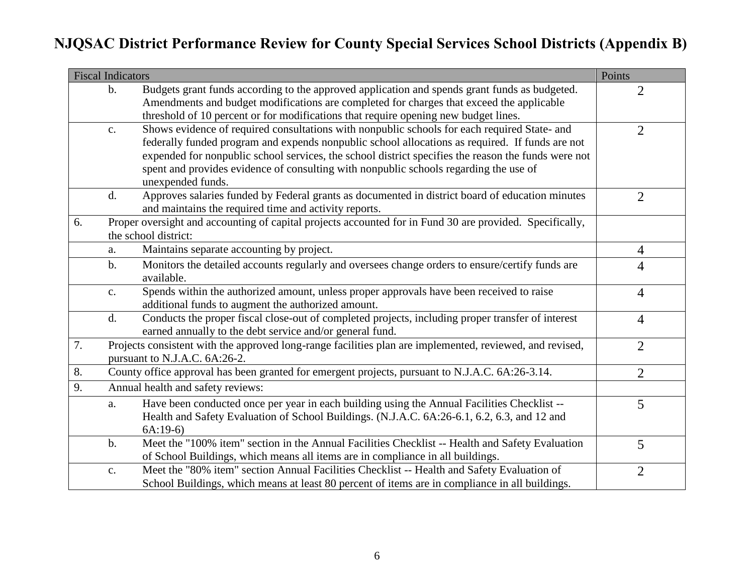|    | <b>Fiscal Indicators</b> |                                                                                                                                                                                                                                                                                                                                                                                                                      | Points         |
|----|--------------------------|----------------------------------------------------------------------------------------------------------------------------------------------------------------------------------------------------------------------------------------------------------------------------------------------------------------------------------------------------------------------------------------------------------------------|----------------|
|    | $\mathbf b$ .            | Budgets grant funds according to the approved application and spends grant funds as budgeted.<br>Amendments and budget modifications are completed for charges that exceed the applicable                                                                                                                                                                                                                            | $\overline{2}$ |
|    |                          | threshold of 10 percent or for modifications that require opening new budget lines.                                                                                                                                                                                                                                                                                                                                  |                |
|    | $\mathbf{C}.$            | Shows evidence of required consultations with nonpublic schools for each required State- and<br>federally funded program and expends nonpublic school allocations as required. If funds are not<br>expended for nonpublic school services, the school district specifies the reason the funds were not<br>spent and provides evidence of consulting with nonpublic schools regarding the use of<br>unexpended funds. | $\overline{2}$ |
|    | d.                       | Approves salaries funded by Federal grants as documented in district board of education minutes                                                                                                                                                                                                                                                                                                                      | $\overline{2}$ |
|    |                          | and maintains the required time and activity reports.                                                                                                                                                                                                                                                                                                                                                                |                |
| 6. |                          | Proper oversight and accounting of capital projects accounted for in Fund 30 are provided. Specifically,<br>the school district:                                                                                                                                                                                                                                                                                     |                |
|    | a.                       | Maintains separate accounting by project.                                                                                                                                                                                                                                                                                                                                                                            | $\overline{4}$ |
|    | $\mathbf{b}$ .           | Monitors the detailed accounts regularly and oversees change orders to ensure/certify funds are<br>available.                                                                                                                                                                                                                                                                                                        | 4              |
|    | c.                       | Spends within the authorized amount, unless proper approvals have been received to raise<br>additional funds to augment the authorized amount.                                                                                                                                                                                                                                                                       | $\overline{4}$ |
|    | d.                       | Conducts the proper fiscal close-out of completed projects, including proper transfer of interest<br>earned annually to the debt service and/or general fund.                                                                                                                                                                                                                                                        | $\overline{4}$ |
| 7. |                          | Projects consistent with the approved long-range facilities plan are implemented, reviewed, and revised,<br>pursuant to N.J.A.C. 6A:26-2.                                                                                                                                                                                                                                                                            | $\overline{2}$ |
| 8. |                          | County office approval has been granted for emergent projects, pursuant to N.J.A.C. 6A:26-3.14.                                                                                                                                                                                                                                                                                                                      | $\overline{2}$ |
| 9. |                          | Annual health and safety reviews:                                                                                                                                                                                                                                                                                                                                                                                    |                |
|    | a.                       | Have been conducted once per year in each building using the Annual Facilities Checklist --<br>Health and Safety Evaluation of School Buildings. (N.J.A.C. 6A:26-6.1, 6.2, 6.3, and 12 and<br>$6A:19-6$                                                                                                                                                                                                              | 5              |
|    | $\mathbf b$ .            | Meet the "100% item" section in the Annual Facilities Checklist -- Health and Safety Evaluation<br>of School Buildings, which means all items are in compliance in all buildings.                                                                                                                                                                                                                                    | 5              |
|    | $\mathbf{c}$ .           | Meet the "80% item" section Annual Facilities Checklist -- Health and Safety Evaluation of<br>School Buildings, which means at least 80 percent of items are in compliance in all buildings.                                                                                                                                                                                                                         | $\overline{2}$ |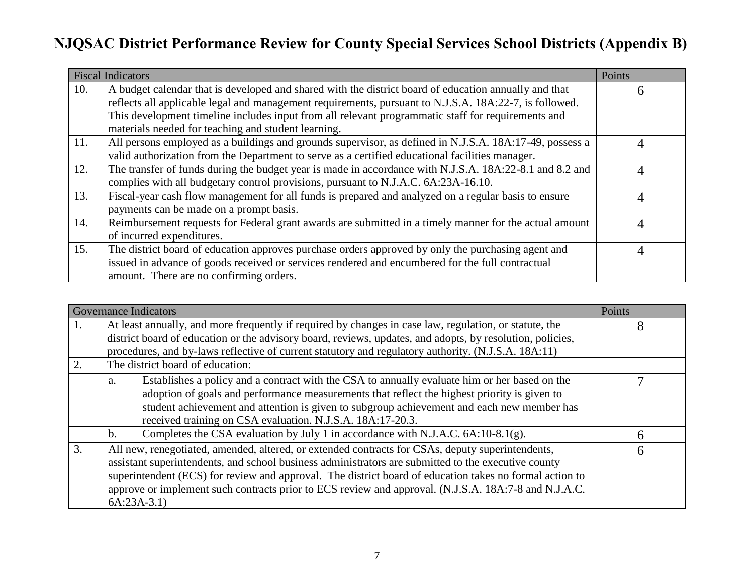|     | <b>Fiscal Indicators</b>                                                                                                                                                                                                                                                                                                                                                     | Points |
|-----|------------------------------------------------------------------------------------------------------------------------------------------------------------------------------------------------------------------------------------------------------------------------------------------------------------------------------------------------------------------------------|--------|
| 10. | A budget calendar that is developed and shared with the district board of education annually and that<br>reflects all applicable legal and management requirements, pursuant to N.J.S.A. 18A:22-7, is followed.<br>This development timeline includes input from all relevant programmatic staff for requirements and<br>materials needed for teaching and student learning. | h      |
| 11. | All persons employed as a buildings and grounds supervisor, as defined in N.J.S.A. 18A:17-49, possess a<br>valid authorization from the Department to serve as a certified educational facilities manager.                                                                                                                                                                   |        |
| 12. | The transfer of funds during the budget year is made in accordance with N.J.S.A. 18A:22-8.1 and 8.2 and<br>complies with all budgetary control provisions, pursuant to N.J.A.C. 6A:23A-16.10.                                                                                                                                                                                |        |
| 13. | Fiscal-year cash flow management for all funds is prepared and analyzed on a regular basis to ensure<br>payments can be made on a prompt basis.                                                                                                                                                                                                                              |        |
| 14. | Reimbursement requests for Federal grant awards are submitted in a timely manner for the actual amount<br>of incurred expenditures.                                                                                                                                                                                                                                          | Д      |
| 15. | The district board of education approves purchase orders approved by only the purchasing agent and<br>issued in advance of goods received or services rendered and encumbered for the full contractual<br>amount. There are no confirming orders.                                                                                                                            |        |

|    | <b>Governance Indicators</b>                                                                                                                                                                                                                                                                                                                                                                                                                | Points |
|----|---------------------------------------------------------------------------------------------------------------------------------------------------------------------------------------------------------------------------------------------------------------------------------------------------------------------------------------------------------------------------------------------------------------------------------------------|--------|
| 1. | At least annually, and more frequently if required by changes in case law, regulation, or statute, the<br>district board of education or the advisory board, reviews, updates, and adopts, by resolution, policies,<br>procedures, and by-laws reflective of current statutory and regulatory authority. (N.J.S.A. 18A:11)                                                                                                                  | 8      |
| 2. | The district board of education:                                                                                                                                                                                                                                                                                                                                                                                                            |        |
|    | Establishes a policy and a contract with the CSA to annually evaluate him or her based on the<br>a.<br>adoption of goals and performance measurements that reflect the highest priority is given to<br>student achievement and attention is given to subgroup achievement and each new member has<br>received training on CSA evaluation. N.J.S.A. 18A:17-20.3.                                                                             |        |
|    | Completes the CSA evaluation by July 1 in accordance with N.J.A.C. 6A:10-8.1(g).<br>$\mathbf{b}$ .                                                                                                                                                                                                                                                                                                                                          | h      |
| 3. | All new, renegotiated, amended, altered, or extended contracts for CSAs, deputy superintendents,<br>assistant superintendents, and school business administrators are submitted to the executive county<br>superintendent (ECS) for review and approval. The district board of education takes no formal action to<br>approve or implement such contracts prior to ECS review and approval. (N.J.S.A. 18A:7-8 and N.J.A.C.<br>$6A:23A-3.1)$ | 6      |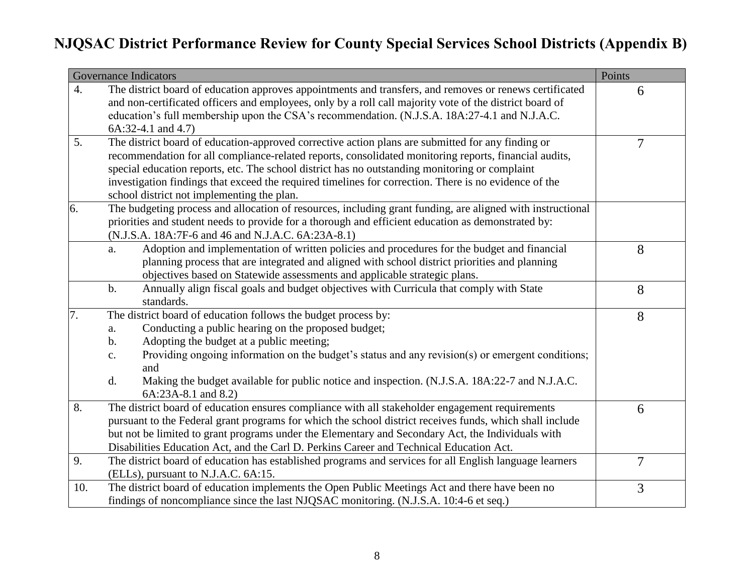|     | <b>Governance Indicators</b>                                                                                       | Points |
|-----|--------------------------------------------------------------------------------------------------------------------|--------|
| 4.  | The district board of education approves appointments and transfers, and removes or renews certificated            | 6      |
|     | and non-certificated officers and employees, only by a roll call majority vote of the district board of            |        |
|     | education's full membership upon the CSA's recommendation. (N.J.S.A. 18A:27-4.1 and N.J.A.C.                       |        |
|     | $6A:32-4.1$ and $4.7$ )                                                                                            |        |
| 5.  | The district board of education-approved corrective action plans are submitted for any finding or                  | 7      |
|     | recommendation for all compliance-related reports, consolidated monitoring reports, financial audits,              |        |
|     | special education reports, etc. The school district has no outstanding monitoring or complaint                     |        |
|     | investigation findings that exceed the required timelines for correction. There is no evidence of the              |        |
|     | school district not implementing the plan.                                                                         |        |
| 6.  | The budgeting process and allocation of resources, including grant funding, are aligned with instructional         |        |
|     | priorities and student needs to provide for a thorough and efficient education as demonstrated by:                 |        |
|     | (N.J.S.A. 18A:7F-6 and 46 and N.J.A.C. 6A:23A-8.1)                                                                 |        |
|     | Adoption and implementation of written policies and procedures for the budget and financial<br>a.                  | 8      |
|     | planning process that are integrated and aligned with school district priorities and planning                      |        |
|     | objectives based on Statewide assessments and applicable strategic plans.                                          |        |
|     | Annually align fiscal goals and budget objectives with Curricula that comply with State<br>$\mathbf b$ .           | 8      |
|     | standards.                                                                                                         |        |
| 7.  | The district board of education follows the budget process by:                                                     | 8      |
|     | Conducting a public hearing on the proposed budget;<br>a.                                                          |        |
|     | Adopting the budget at a public meeting;<br>b.                                                                     |        |
|     | Providing ongoing information on the budget's status and any revision(s) or emergent conditions;<br>$\mathbf{c}$ . |        |
|     | and                                                                                                                |        |
|     | Making the budget available for public notice and inspection. (N.J.S.A. 18A:22-7 and N.J.A.C.<br>d.                |        |
|     | 6A:23A-8.1 and 8.2)                                                                                                |        |
| 8.  | The district board of education ensures compliance with all stakeholder engagement requirements                    | 6      |
|     | pursuant to the Federal grant programs for which the school district receives funds, which shall include           |        |
|     | but not be limited to grant programs under the Elementary and Secondary Act, the Individuals with                  |        |
|     | Disabilities Education Act, and the Carl D. Perkins Career and Technical Education Act.                            |        |
| 9.  | The district board of education has established programs and services for all English language learners            | 7      |
|     | (ELLs), pursuant to N.J.A.C. 6A:15.                                                                                |        |
| 10. | The district board of education implements the Open Public Meetings Act and there have been no                     | 3      |
|     | findings of noncompliance since the last NJQSAC monitoring. (N.J.S.A. 10:4-6 et seq.)                              |        |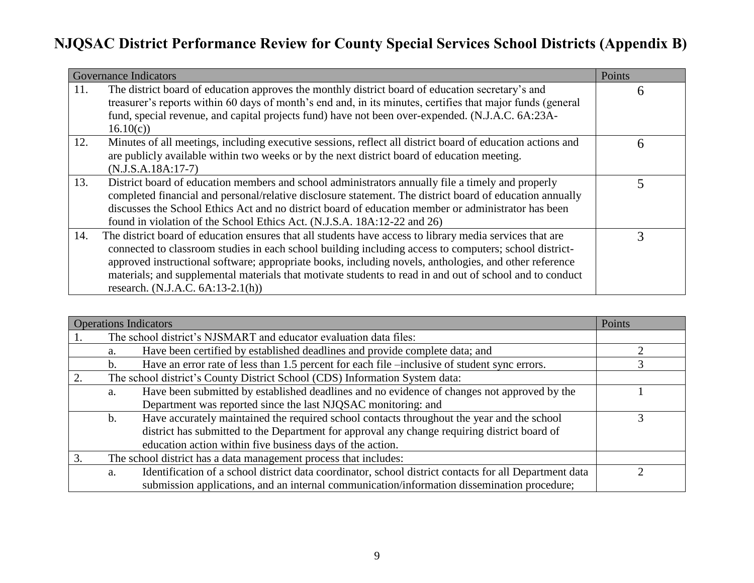|     | <b>Governance Indicators</b>                                                                                                                                                                                                                                                                                                                                                                                                                                                    | Points |
|-----|---------------------------------------------------------------------------------------------------------------------------------------------------------------------------------------------------------------------------------------------------------------------------------------------------------------------------------------------------------------------------------------------------------------------------------------------------------------------------------|--------|
| 11. | The district board of education approves the monthly district board of education secretary's and<br>treasurer's reports within 60 days of month's end and, in its minutes, certifies that major funds (general<br>fund, special revenue, and capital projects fund) have not been over-expended. (N.J.A.C. 6A:23A-<br>16.10(c)                                                                                                                                                  | 6      |
| 12. | Minutes of all meetings, including executive sessions, reflect all district board of education actions and<br>are publicly available within two weeks or by the next district board of education meeting.<br>$(N.J.S.A.18A:17-7)$                                                                                                                                                                                                                                               | 6      |
| 13. | District board of education members and school administrators annually file a timely and properly<br>completed financial and personal/relative disclosure statement. The district board of education annually<br>discusses the School Ethics Act and no district board of education member or administrator has been<br>found in violation of the School Ethics Act. (N.J.S.A. 18A:12-22 and 26)                                                                                |        |
| 14. | The district board of education ensures that all students have access to library media services that are<br>connected to classroom studies in each school building including access to computers; school district-<br>approved instructional software; appropriate books, including novels, anthologies, and other reference<br>materials; and supplemental materials that motivate students to read in and out of school and to conduct<br>research. $(N.J.A.C. 6A:13-2.1(h))$ | 2      |

|                | <b>Operations Indicators</b>                                                                           | Points |
|----------------|--------------------------------------------------------------------------------------------------------|--------|
|                | The school district's NJSMART and educator evaluation data files:                                      |        |
| a.             | Have been certified by established deadlines and provide complete data; and                            |        |
| $\mathsf{b}$ . | Have an error rate of less than 1.5 percent for each file -inclusive of student sync errors.           |        |
|                | The school district's County District School (CDS) Information System data:                            |        |
| a.             | Have been submitted by established deadlines and no evidence of changes not approved by the            |        |
|                | Department was reported since the last NJQSAC monitoring: and                                          |        |
| b.             | Have accurately maintained the required school contacts throughout the year and the school             |        |
|                | district has submitted to the Department for approval any change requiring district board of           |        |
|                | education action within five business days of the action.                                              |        |
|                | The school district has a data management process that includes:                                       |        |
| a.             | Identification of a school district data coordinator, school district contacts for all Department data |        |
|                | submission applications, and an internal communication/information dissemination procedure;            |        |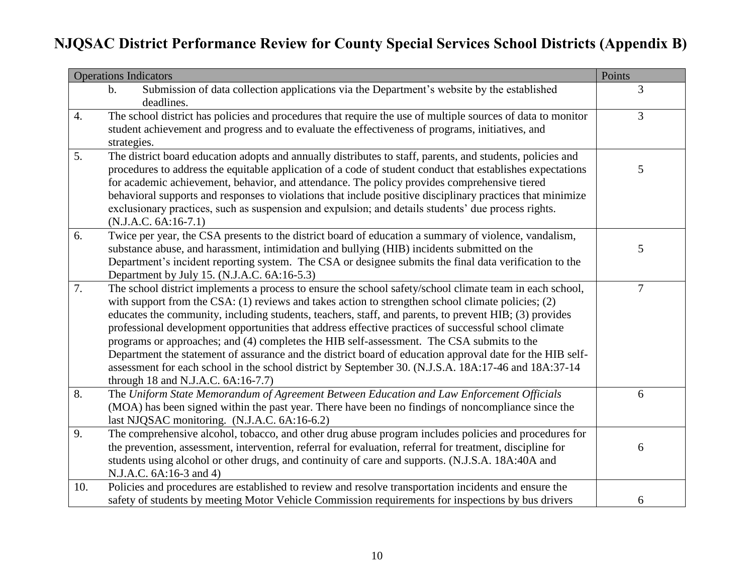|                  | <b>Operations Indicators</b>                                                                                | Points         |
|------------------|-------------------------------------------------------------------------------------------------------------|----------------|
|                  | Submission of data collection applications via the Department's website by the established<br>$\mathbf b$ . | 3              |
|                  | deadlines.                                                                                                  |                |
| $\overline{4}$ . | The school district has policies and procedures that require the use of multiple sources of data to monitor | $\mathfrak{Z}$ |
|                  | student achievement and progress and to evaluate the effectiveness of programs, initiatives, and            |                |
|                  | strategies.                                                                                                 |                |
| 5.               | The district board education adopts and annually distributes to staff, parents, and students, policies and  |                |
|                  | procedures to address the equitable application of a code of student conduct that establishes expectations  | 5              |
|                  | for academic achievement, behavior, and attendance. The policy provides comprehensive tiered                |                |
|                  | behavioral supports and responses to violations that include positive disciplinary practices that minimize  |                |
|                  | exclusionary practices, such as suspension and expulsion; and details students' due process rights.         |                |
|                  | $(N.J.A.C. 6A:16-7.1)$                                                                                      |                |
| 6.               | Twice per year, the CSA presents to the district board of education a summary of violence, vandalism,       |                |
|                  | substance abuse, and harassment, intimidation and bullying (HIB) incidents submitted on the                 | 5              |
|                  | Department's incident reporting system. The CSA or designee submits the final data verification to the      |                |
|                  | Department by July 15. (N.J.A.C. 6A:16-5.3)                                                                 |                |
| 7.               | The school district implements a process to ensure the school safety/school climate team in each school,    | $\overline{7}$ |
|                  | with support from the CSA: $(1)$ reviews and takes action to strengthen school climate policies; $(2)$      |                |
|                  | educates the community, including students, teachers, staff, and parents, to prevent HIB; (3) provides      |                |
|                  | professional development opportunities that address effective practices of successful school climate        |                |
|                  | programs or approaches; and (4) completes the HIB self-assessment. The CSA submits to the                   |                |
|                  | Department the statement of assurance and the district board of education approval date for the HIB self-   |                |
|                  | assessment for each school in the school district by September 30. (N.J.S.A. 18A:17-46 and 18A:37-14        |                |
|                  | through 18 and N.J.A.C. 6A:16-7.7)                                                                          |                |
| 8.               | The Uniform State Memorandum of Agreement Between Education and Law Enforcement Officials                   | 6              |
|                  | (MOA) has been signed within the past year. There have been no findings of noncompliance since the          |                |
|                  | last NJQSAC monitoring. (N.J.A.C. 6A:16-6.2)                                                                |                |
| 9.               | The comprehensive alcohol, tobacco, and other drug abuse program includes policies and procedures for       |                |
|                  | the prevention, assessment, intervention, referral for evaluation, referral for treatment, discipline for   | 6              |
|                  | students using alcohol or other drugs, and continuity of care and supports. (N.J.S.A. 18A:40A and           |                |
|                  | N.J.A.C. 6A:16-3 and 4)                                                                                     |                |
| 10.              | Policies and procedures are established to review and resolve transportation incidents and ensure the       |                |
|                  | safety of students by meeting Motor Vehicle Commission requirements for inspections by bus drivers          | 6              |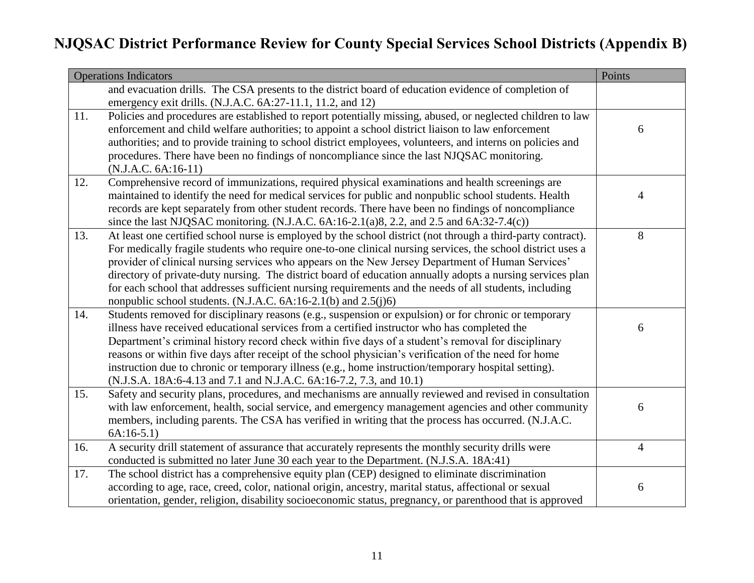|     | <b>Operations Indicators</b>                                                                                 | Points         |
|-----|--------------------------------------------------------------------------------------------------------------|----------------|
|     | and evacuation drills. The CSA presents to the district board of education evidence of completion of         |                |
|     | emergency exit drills. (N.J.A.C. 6A:27-11.1, 11.2, and 12)                                                   |                |
| 11. | Policies and procedures are established to report potentially missing, abused, or neglected children to law  |                |
|     | enforcement and child welfare authorities; to appoint a school district liaison to law enforcement           | 6              |
|     | authorities; and to provide training to school district employees, volunteers, and interns on policies and   |                |
|     | procedures. There have been no findings of noncompliance since the last NJQSAC monitoring.                   |                |
|     | $(N.J.A.C. 6A:16-11)$                                                                                        |                |
| 12. | Comprehensive record of immunizations, required physical examinations and health screenings are              |                |
|     | maintained to identify the need for medical services for public and nonpublic school students. Health        | $\overline{4}$ |
|     | records are kept separately from other student records. There have been no findings of noncompliance         |                |
|     | since the last NJQSAC monitoring. (N.J.A.C. $6A:16-2.1(a)8, 2.2,$ and $2.5$ and $6A:32-7.4(c)$ )             |                |
| 13. | At least one certified school nurse is employed by the school district (not through a third-party contract). | 8              |
|     | For medically fragile students who require one-to-one clinical nursing services, the school district uses a  |                |
|     | provider of clinical nursing services who appears on the New Jersey Department of Human Services'            |                |
|     | directory of private-duty nursing. The district board of education annually adopts a nursing services plan   |                |
|     | for each school that addresses sufficient nursing requirements and the needs of all students, including      |                |
|     | nonpublic school students. (N.J.A.C. $6A:16-2.1(b)$ and $2.5(j)6$ )                                          |                |
| 14. | Students removed for disciplinary reasons (e.g., suspension or expulsion) or for chronic or temporary        |                |
|     | illness have received educational services from a certified instructor who has completed the                 | 6              |
|     | Department's criminal history record check within five days of a student's removal for disciplinary          |                |
|     | reasons or within five days after receipt of the school physician's verification of the need for home        |                |
|     | instruction due to chronic or temporary illness (e.g., home instruction/temporary hospital setting).         |                |
|     | (N.J.S.A. 18A:6-4.13 and 7.1 and N.J.A.C. 6A:16-7.2, 7.3, and 10.1)                                          |                |
| 15. | Safety and security plans, procedures, and mechanisms are annually reviewed and revised in consultation      |                |
|     | with law enforcement, health, social service, and emergency management agencies and other community          | 6              |
|     | members, including parents. The CSA has verified in writing that the process has occurred. (N.J.A.C.         |                |
|     | $6A:16-5.1)$                                                                                                 |                |
| 16. | A security drill statement of assurance that accurately represents the monthly security drills were          | $\overline{4}$ |
|     | conducted is submitted no later June 30 each year to the Department. (N.J.S.A. 18A:41)                       |                |
| 17. | The school district has a comprehensive equity plan (CEP) designed to eliminate discrimination               |                |
|     | according to age, race, creed, color, national origin, ancestry, marital status, affectional or sexual       | 6              |
|     | orientation, gender, religion, disability socioeconomic status, pregnancy, or parenthood that is approved    |                |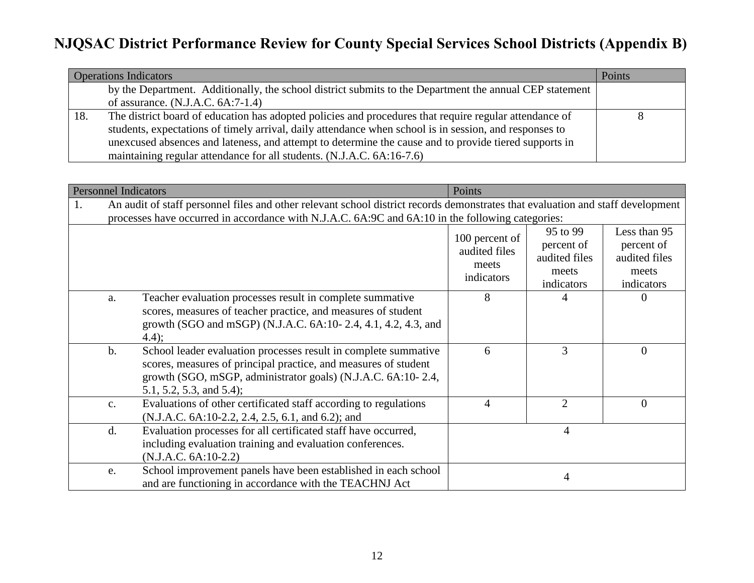| <b>Operations Indicators</b> |                                                                                                         |  |
|------------------------------|---------------------------------------------------------------------------------------------------------|--|
|                              | by the Department. Additionally, the school district submits to the Department the annual CEP statement |  |
|                              | of assurance. $(N.J.A.C. 6A:7-1.4)$                                                                     |  |
| 18.                          | The district board of education has adopted policies and procedures that require regular attendance of  |  |
|                              | students, expectations of timely arrival, daily attendance when school is in session, and responses to  |  |
|                              | unexcused absences and lateness, and attempt to determine the cause and to provide tiered supports in   |  |
|                              | maintaining regular attendance for all students. (N.J.A.C. 6A:16-7.6)                                   |  |

| <b>Personnel Indicators</b> |                                                                                                                                                                                                                                     | Points                                                                                                                                                                                                                         |                                                        |                                                                |                                                                    |
|-----------------------------|-------------------------------------------------------------------------------------------------------------------------------------------------------------------------------------------------------------------------------------|--------------------------------------------------------------------------------------------------------------------------------------------------------------------------------------------------------------------------------|--------------------------------------------------------|----------------------------------------------------------------|--------------------------------------------------------------------|
| 1.                          | An audit of staff personnel files and other relevant school district records demonstrates that evaluation and staff development<br>processes have occurred in accordance with N.J.A.C. 6A:9C and 6A:10 in the following categories: |                                                                                                                                                                                                                                |                                                        |                                                                |                                                                    |
|                             |                                                                                                                                                                                                                                     |                                                                                                                                                                                                                                | 100 percent of<br>audited files<br>meets<br>indicators | 95 to 99<br>percent of<br>audited files<br>meets<br>indicators | Less than 95<br>percent of<br>audited files<br>meets<br>indicators |
|                             | a.                                                                                                                                                                                                                                  | Teacher evaluation processes result in complete summative<br>scores, measures of teacher practice, and measures of student<br>growth (SGO and mSGP) (N.J.A.C. 6A:10-2.4, 4.1, 4.2, 4.3, and<br>4.4);                           | 8                                                      | 4                                                              | $\Omega$                                                           |
|                             | $b$ .                                                                                                                                                                                                                               | School leader evaluation processes result in complete summative<br>scores, measures of principal practice, and measures of student<br>growth (SGO, mSGP, administrator goals) (N.J.A.C. 6A:10-2.4,<br>5.1, 5.2, 5.3, and 5.4); | 6                                                      | 3                                                              | $\overline{0}$                                                     |
|                             | c.                                                                                                                                                                                                                                  | Evaluations of other certificated staff according to regulations<br>(N.J.A.C. 6A:10-2.2, 2.4, 2.5, 6.1, and 6.2); and                                                                                                          | 4                                                      | $\overline{2}$                                                 | $\overline{0}$                                                     |
|                             | d.                                                                                                                                                                                                                                  | Evaluation processes for all certificated staff have occurred,<br>including evaluation training and evaluation conferences.<br>$(N.J.A.C. 6A:10-2.2)$                                                                          |                                                        | $\overline{4}$                                                 |                                                                    |
|                             | e.                                                                                                                                                                                                                                  | School improvement panels have been established in each school<br>and are functioning in accordance with the TEACHNJ Act                                                                                                       |                                                        | 4                                                              |                                                                    |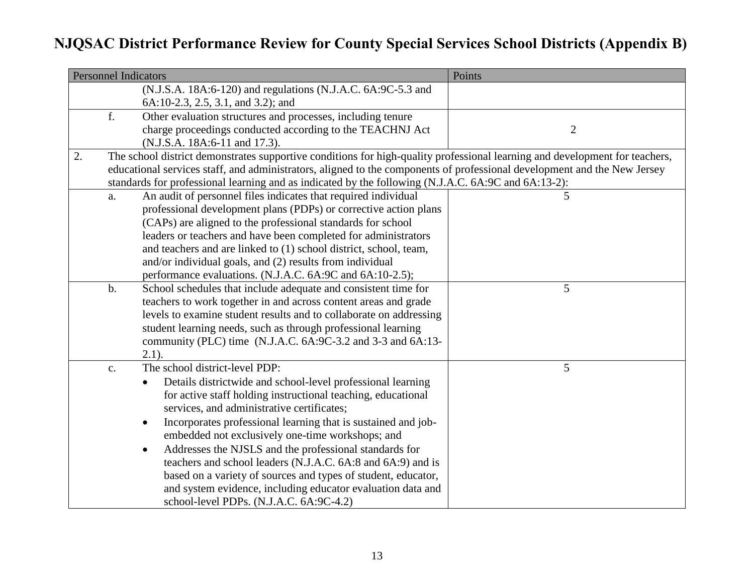| <b>Personnel Indicators</b> |                |                                                                                                                             | Points         |
|-----------------------------|----------------|-----------------------------------------------------------------------------------------------------------------------------|----------------|
|                             |                | (N.J.S.A. 18A:6-120) and regulations (N.J.A.C. 6A:9C-5.3 and                                                                |                |
|                             |                | 6A:10-2.3, 2.5, 3.1, and 3.2); and                                                                                          |                |
|                             | f.             | Other evaluation structures and processes, including tenure                                                                 |                |
|                             |                | charge proceedings conducted according to the TEACHNJ Act                                                                   | $\overline{2}$ |
|                             |                | (N.J.S.A. 18A:6-11 and 17.3).                                                                                               |                |
| 2.                          |                | The school district demonstrates supportive conditions for high-quality professional learning and development for teachers, |                |
|                             |                | educational services staff, and administrators, aligned to the components of professional development and the New Jersey    |                |
|                             |                | standards for professional learning and as indicated by the following (N.J.A.C. 6A:9C and 6A:13-2):                         |                |
|                             | a.             | An audit of personnel files indicates that required individual                                                              | 5              |
|                             |                | professional development plans (PDPs) or corrective action plans                                                            |                |
|                             |                | (CAPs) are aligned to the professional standards for school                                                                 |                |
|                             |                | leaders or teachers and have been completed for administrators                                                              |                |
|                             |                | and teachers and are linked to (1) school district, school, team,                                                           |                |
|                             |                | and/or individual goals, and (2) results from individual                                                                    |                |
|                             |                | performance evaluations. (N.J.A.C. 6A:9C and 6A:10-2.5);                                                                    |                |
|                             | $b$ .          | School schedules that include adequate and consistent time for                                                              | 5              |
|                             |                | teachers to work together in and across content areas and grade                                                             |                |
|                             |                | levels to examine student results and to collaborate on addressing                                                          |                |
|                             |                | student learning needs, such as through professional learning                                                               |                |
|                             |                | community (PLC) time (N.J.A.C. 6A: 9C-3.2 and 3-3 and 6A: 13-                                                               |                |
|                             |                | $2.1$ ).                                                                                                                    |                |
|                             | $\mathbf{c}$ . | The school district-level PDP:                                                                                              | 5              |
|                             |                | Details districtwide and school-level professional learning                                                                 |                |
|                             |                | for active staff holding instructional teaching, educational                                                                |                |
|                             |                | services, and administrative certificates;                                                                                  |                |
|                             |                | Incorporates professional learning that is sustained and job-<br>$\bullet$                                                  |                |
|                             |                | embedded not exclusively one-time workshops; and                                                                            |                |
|                             |                | Addresses the NJSLS and the professional standards for<br>$\bullet$                                                         |                |
|                             |                | teachers and school leaders (N.J.A.C. 6A:8 and 6A:9) and is                                                                 |                |
|                             |                | based on a variety of sources and types of student, educator,                                                               |                |
|                             |                | and system evidence, including educator evaluation data and                                                                 |                |
|                             |                | school-level PDPs. (N.J.A.C. 6A:9C-4.2)                                                                                     |                |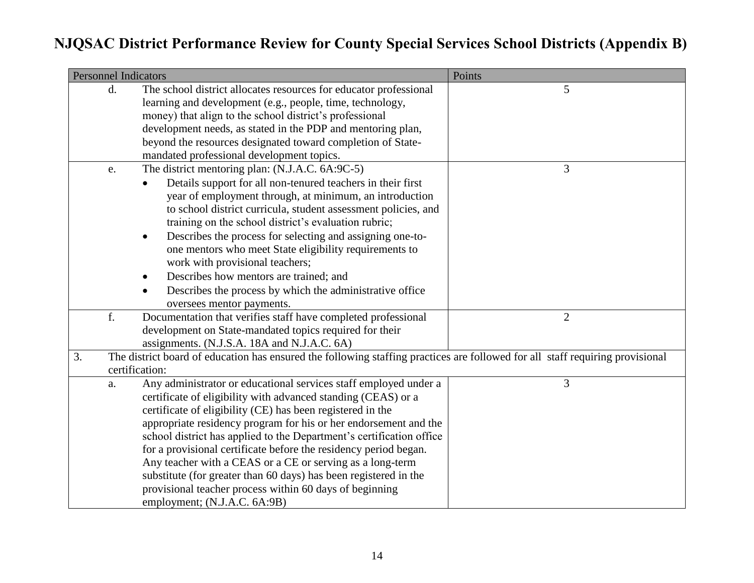| <b>Personnel Indicators</b> |                                                                                                                               | Points         |
|-----------------------------|-------------------------------------------------------------------------------------------------------------------------------|----------------|
| d.                          | The school district allocates resources for educator professional                                                             | 5              |
|                             | learning and development (e.g., people, time, technology,                                                                     |                |
|                             | money) that align to the school district's professional                                                                       |                |
|                             | development needs, as stated in the PDP and mentoring plan,                                                                   |                |
|                             | beyond the resources designated toward completion of State-                                                                   |                |
|                             | mandated professional development topics.                                                                                     |                |
| e.                          | The district mentoring plan: (N.J.A.C. 6A:9C-5)                                                                               | 3              |
|                             | Details support for all non-tenured teachers in their first                                                                   |                |
|                             | year of employment through, at minimum, an introduction                                                                       |                |
|                             | to school district curricula, student assessment policies, and                                                                |                |
|                             | training on the school district's evaluation rubric;                                                                          |                |
|                             | Describes the process for selecting and assigning one-to-<br>$\bullet$                                                        |                |
|                             | one mentors who meet State eligibility requirements to                                                                        |                |
|                             | work with provisional teachers;                                                                                               |                |
|                             | Describes how mentors are trained; and<br>$\bullet$                                                                           |                |
|                             | Describes the process by which the administrative office                                                                      |                |
|                             | oversees mentor payments.                                                                                                     |                |
| f.                          | Documentation that verifies staff have completed professional                                                                 | $\overline{2}$ |
|                             | development on State-mandated topics required for their                                                                       |                |
|                             | assignments. (N.J.S.A. 18A and N.J.A.C. 6A)                                                                                   |                |
| 3.                          | The district board of education has ensured the following staffing practices are followed for all staff requiring provisional |                |
|                             | certification:                                                                                                                |                |
| a.                          | Any administrator or educational services staff employed under a                                                              | 3              |
|                             | certificate of eligibility with advanced standing (CEAS) or a                                                                 |                |
|                             | certificate of eligibility (CE) has been registered in the                                                                    |                |
|                             | appropriate residency program for his or her endorsement and the                                                              |                |
|                             | school district has applied to the Department's certification office                                                          |                |
|                             | for a provisional certificate before the residency period began.                                                              |                |
|                             | Any teacher with a CEAS or a CE or serving as a long-term                                                                     |                |
|                             | substitute (for greater than 60 days) has been registered in the                                                              |                |
|                             | provisional teacher process within 60 days of beginning                                                                       |                |
|                             | employment; (N.J.A.C. 6A:9B)                                                                                                  |                |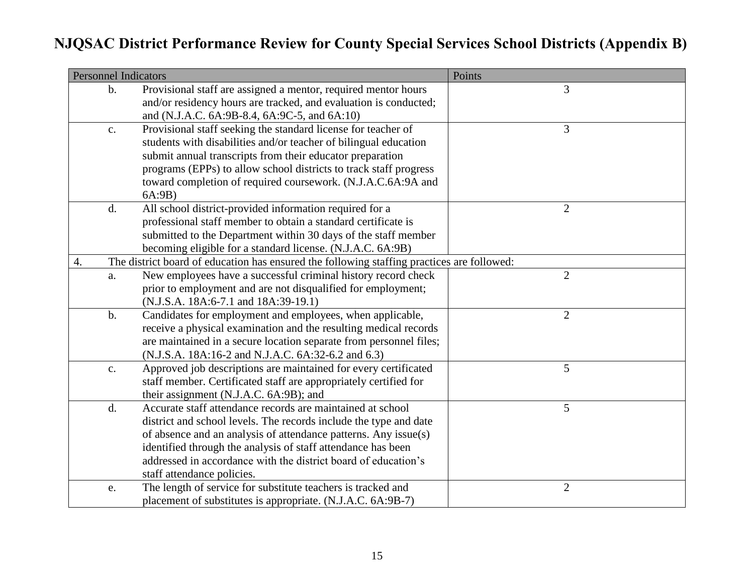|    | <b>Personnel Indicators</b> |                                                                                            | Points         |
|----|-----------------------------|--------------------------------------------------------------------------------------------|----------------|
|    | $\mathbf{b}$ .              | Provisional staff are assigned a mentor, required mentor hours                             | 3              |
|    |                             | and/or residency hours are tracked, and evaluation is conducted;                           |                |
|    |                             | and (N.J.A.C. 6A: 9B-8.4, 6A: 9C-5, and 6A: 10)                                            |                |
|    | c.                          | Provisional staff seeking the standard license for teacher of                              | 3              |
|    |                             | students with disabilities and/or teacher of bilingual education                           |                |
|    |                             | submit annual transcripts from their educator preparation                                  |                |
|    |                             | programs (EPPs) to allow school districts to track staff progress                          |                |
|    |                             | toward completion of required coursework. (N.J.A.C.6A:9A and                               |                |
|    |                             | 6A:9B)                                                                                     |                |
|    | d.                          | All school district-provided information required for a                                    | $\overline{2}$ |
|    |                             | professional staff member to obtain a standard certificate is                              |                |
|    |                             | submitted to the Department within 30 days of the staff member                             |                |
|    |                             | becoming eligible for a standard license. (N.J.A.C. 6A:9B)                                 |                |
| 4. |                             | The district board of education has ensured the following staffing practices are followed: |                |
|    | a.                          | New employees have a successful criminal history record check                              | $\overline{2}$ |
|    |                             | prior to employment and are not disqualified for employment;                               |                |
|    |                             | (N.J.S.A. 18A:6-7.1 and 18A:39-19.1)                                                       |                |
|    | $b$ .                       | Candidates for employment and employees, when applicable,                                  | $\overline{2}$ |
|    |                             | receive a physical examination and the resulting medical records                           |                |
|    |                             | are maintained in a secure location separate from personnel files;                         |                |
|    |                             | (N.J.S.A. 18A:16-2 and N.J.A.C. 6A:32-6.2 and 6.3)                                         |                |
|    | $\mathbf{c}$ .              | Approved job descriptions are maintained for every certificated                            | 5              |
|    |                             | staff member. Certificated staff are appropriately certified for                           |                |
|    |                             | their assignment (N.J.A.C. 6A:9B); and                                                     |                |
|    | d.                          | Accurate staff attendance records are maintained at school                                 | 5              |
|    |                             | district and school levels. The records include the type and date                          |                |
|    |                             | of absence and an analysis of attendance patterns. Any issue(s)                            |                |
|    |                             | identified through the analysis of staff attendance has been                               |                |
|    |                             | addressed in accordance with the district board of education's                             |                |
|    |                             | staff attendance policies.                                                                 |                |
|    | e.                          | The length of service for substitute teachers is tracked and                               | $\overline{2}$ |
|    |                             | placement of substitutes is appropriate. (N.J.A.C. 6A:9B-7)                                |                |